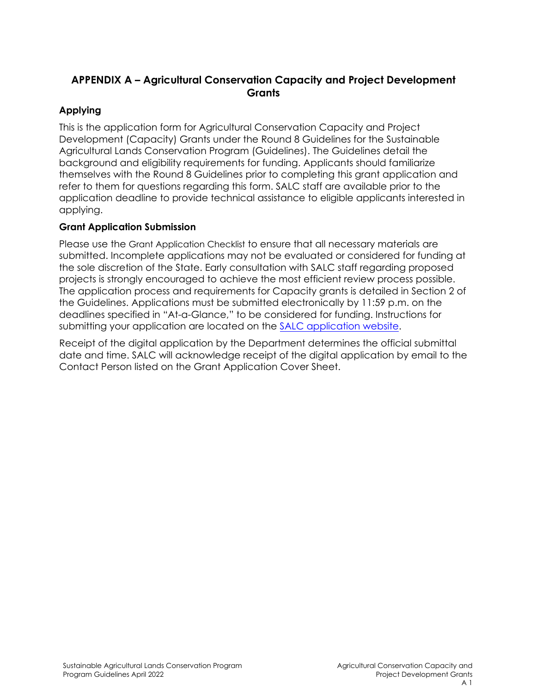# **APPENDIX A – Agricultural Conservation Capacity and Project Development Grants**

# **Applying**

This is the application form for Agricultural Conservation Capacity and Project Development (Capacity) Grants under the Round 8 Guidelines for the Sustainable Agricultural Lands Conservation Program (Guidelines). The Guidelines detail the background and eligibility requirements for funding. Applicants should familiarize themselves with the Round 8 Guidelines prior to completing this grant application and refer to them for questions regarding this form. SALC staff are available prior to the application deadline to provide technical assistance to eligible applicants interested in applying.

# **Grant Application Submission**

Please use the Grant Application Checklist to ensure that all necessary materials are submitted. Incomplete applications may not be evaluated or considered for funding at the sole discretion of the State. Early consultation with SALC staff regarding proposed projects is strongly encouraged to achieve the most efficient review process possible. The application process and requirements for Capacity grants is detailed in Section 2 of the Guidelines. Applications must be submitted electronically by 11:59 p.m. on the deadlines specified in "At-a-Glance," to be considered for funding. Instructions for submitting your application are located on the [SALC application website.](https://www.conservation.ca.gov/dlrp/grant-programs/SALCP/Pages/Application%20Information.aspx)

Receipt of the digital application by the Department determines the official submittal date and time. SALC will acknowledge receipt of the digital application by email to the Contact Person listed on the Grant Application Cover Sheet.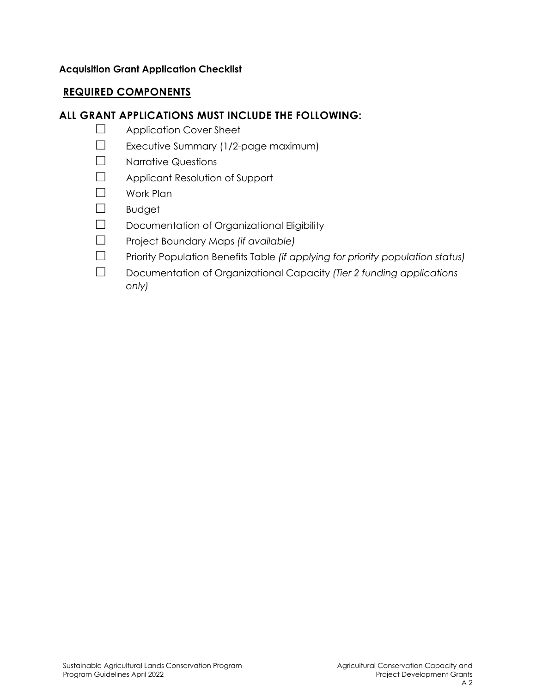## **Acquisition Grant Application Checklist**

# **REQUIRED COMPONENTS**

# **ALL GRANT APPLICATIONS MUST INCLUDE THE FOLLOWING:**

- ☐ Application Cover Sheet
- ☐ Executive Summary (1/2-page maximum)
- ☐ Narrative Questions
- ☐ Applicant Resolution of Support
- ☐ Work Plan
- ☐ Budget
- ☐ Documentation of Organizational Eligibility
- ☐ Project Boundary Maps *(if available)*
- ☐ Priority Population Benefits Table *(if applying for priority population status)*
- ☐ Documentation of Organizational Capacity *(Tier 2 funding applications only)*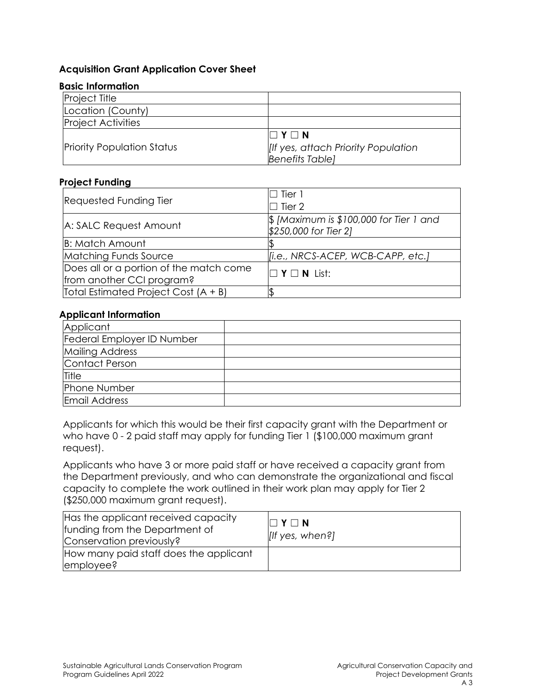### **Acquisition Grant Application Cover Sheet**

#### **Basic Information**

| <b>Project Title</b>              |                                           |  |  |
|-----------------------------------|-------------------------------------------|--|--|
| Location (County)                 |                                           |  |  |
| <b>Project Activities</b>         |                                           |  |  |
|                                   | $\Box$ Y $\Box$ N                         |  |  |
| <b>Priority Population Status</b> | <b>If yes, attach Priority Population</b> |  |  |
|                                   | <b>Benefits Table</b>                     |  |  |

#### **Project Funding**

| <b>Requested Funding Tier</b>                                        | $\sqsupset$ Tier 1<br>$\Box$ Tier 2                                         |  |  |  |
|----------------------------------------------------------------------|-----------------------------------------------------------------------------|--|--|--|
| A: SALC Request Amount                                               | $\frac{1}{2}$ [Maximum is \$100,000 for Tier 1 and<br>\$250,000 for Tier 2] |  |  |  |
| <b>B: Match Amount</b>                                               |                                                                             |  |  |  |
| Matching Funds Source                                                | [i.e., NRCS-ACEP, WCB-CAPP, etc.]                                           |  |  |  |
| Does all or a portion of the match come<br>from another CCI program? | $\square$ Y $\square$ N List:                                               |  |  |  |
| Total Estimated Project Cost (A + B)                                 |                                                                             |  |  |  |

#### **Applicant Information**

| Applicant                  |  |
|----------------------------|--|
| Federal Employer ID Number |  |
| <b>Mailing Address</b>     |  |
| Contact Person             |  |
| Title                      |  |
| Phone Number               |  |
| Email Address              |  |

Applicants for which this would be their first capacity grant with the Department or who have 0 - 2 paid staff may apply for funding Tier 1 (\$100,000 maximum grant request).

Applicants who have 3 or more paid staff or have received a capacity grant from the Department previously, and who can demonstrate the organizational and fiscal capacity to complete the work outlined in their work plan may apply for Tier 2 (\$250,000 maximum grant request).

| Has the applicant received capacity<br>funding from the Department of<br>Conservation previously? | $\Box$ Y $\Box$ N<br>$[$ If yes, when?] |
|---------------------------------------------------------------------------------------------------|-----------------------------------------|
| How many paid staff does the applicant<br>employee?                                               |                                         |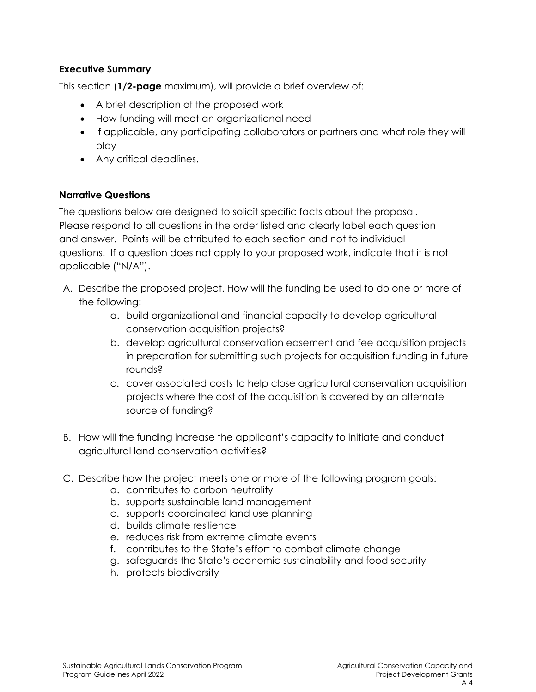## **Executive Summary**

This section (**1/2-page** maximum), will provide a brief overview of:

- A brief description of the proposed work
- How funding will meet an organizational need
- If applicable, any participating collaborators or partners and what role they will play
- Any critical deadlines.

## **Narrative Questions**

The questions below are designed to solicit specific facts about the proposal. Please respond to all questions in the order listed and clearly label each question and answer. Points will be attributed to each section and not to individual questions. If a question does not apply to your proposed work, indicate that it is not applicable ("N/A").

- A. Describe the proposed project. How will the funding be used to do one or more of the following:
	- a. build organizational and financial capacity to develop agricultural conservation acquisition projects?
	- b. develop agricultural conservation easement and fee acquisition projects in preparation for submitting such projects for acquisition funding in future rounds?
	- c. cover associated costs to help close agricultural conservation acquisition projects where the cost of the acquisition is covered by an alternate source of funding?
- B. How will the funding increase the applicant's capacity to initiate and conduct agricultural land conservation activities?
- C. Describe how the project meets one or more of the following program goals:
	- a. contributes to carbon neutrality
	- b. supports sustainable land management
	- c. supports coordinated land use planning
	- d. builds climate resilience
	- e. reduces risk from extreme climate events
	- f. contributes to the State's effort to combat climate change
	- g. safeguards the State's economic sustainability and food security
	- h. protects biodiversity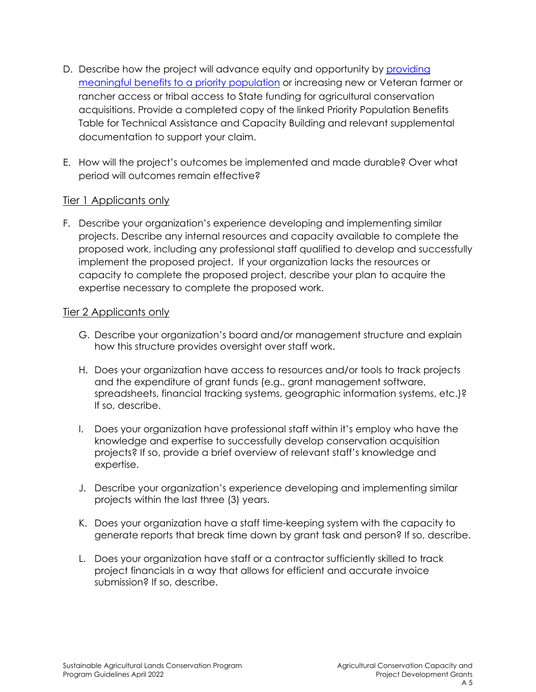- D. Describe how the project will advance equity and opportunity by [providing](https://ww2.arb.ca.gov/sites/default/files/auction-proceeds/ccidoc/criteriatable/criteria_table_technical_assistance_capacity_building.pdf)  [meaningful benefits to a priority population](https://ww2.arb.ca.gov/sites/default/files/auction-proceeds/ccidoc/criteriatable/criteria_table_technical_assistance_capacity_building.pdf) or increasing new or Veteran farmer or rancher access or tribal access to State funding for agricultural conservation acquisitions. Provide a completed copy of the linked Priority Population Benefits Table for Technical Assistance and Capacity Building and relevant supplemental documentation to support your claim.
- E. How will the project's outcomes be implemented and made durable? Over what period will outcomes remain effective?

## Tier 1 Applicants only

F. Describe your organization's experience developing and implementing similar projects. Describe any internal resources and capacity available to complete the proposed work, including any professional staff qualified to develop and successfully implement the proposed project. If your organization lacks the resources or capacity to complete the proposed project, describe your plan to acquire the expertise necessary to complete the proposed work.

## Tier 2 Applicants only

- G. Describe your organization's board and/or management structure and explain how this structure provides oversight over staff work.
- H. Does your organization have access to resources and/or tools to track projects and the expenditure of grant funds (e.g., grant management software, spreadsheets, financial tracking systems, geographic information systems, etc.)? If so, describe.
- I. Does your organization have professional staff within it's employ who have the knowledge and expertise to successfully develop conservation acquisition projects? If so, provide a brief overview of relevant staff's knowledge and expertise.
- J. Describe your organization's experience developing and implementing similar projects within the last three (3) years.
- K. Does your organization have a staff time-keeping system with the capacity to generate reports that break time down by grant task and person? If so, describe.
- L. Does your organization have staff or a contractor sufficiently skilled to track project financials in a way that allows for efficient and accurate invoice submission? If so, describe.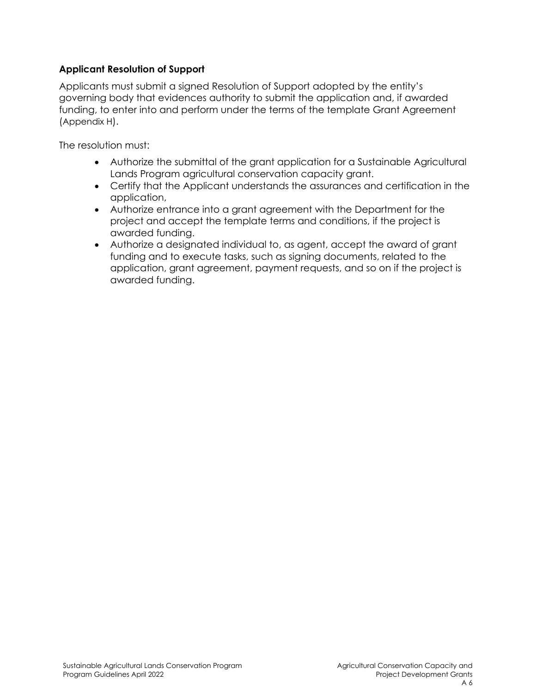## **Applicant Resolution of Support**

Applicants must submit a signed Resolution of Support adopted by the entity's governing body that evidences authority to submit the application and, if awarded funding, to enter into and perform under the terms of the template Grant Agreement (Appendix H).

The resolution must:

- Authorize the submittal of the grant application for a Sustainable Agricultural Lands Program agricultural conservation capacity grant.
- Certify that the Applicant understands the assurances and certification in the application,
- Authorize entrance into a grant agreement with the Department for the project and accept the template terms and conditions, if the project is awarded funding.
- Authorize a designated individual to, as agent, accept the award of grant funding and to execute tasks, such as signing documents, related to the application, grant agreement, payment requests, and so on if the project is awarded funding.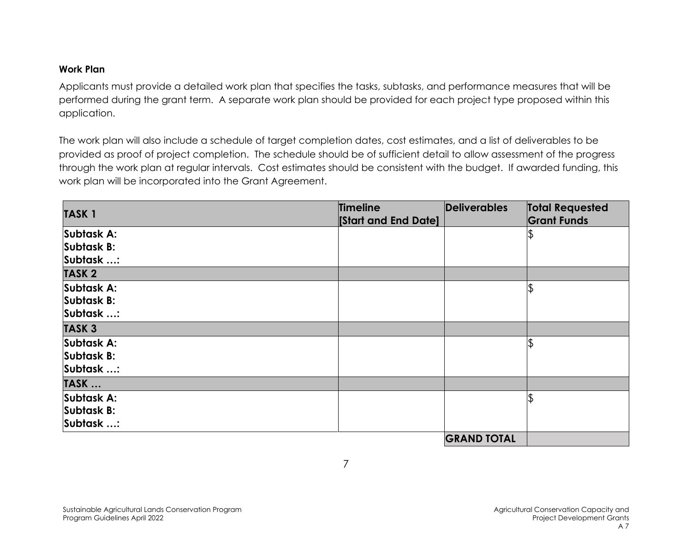## **Work Plan**

Applicants must provide a detailed work plan that specifies the tasks, subtasks, and performance measures that will be performed during the grant term. A separate work plan should be provided for each project type proposed within this application.

The work plan will also include a schedule of target completion dates, cost estimates, and a list of deliverables to be provided as proof of project completion. The schedule should be of sufficient detail to allow assessment of the progress through the work plan at regular intervals. Cost estimates should be consistent with the budget. If awarded funding, this work plan will be incorporated into the Grant Agreement.

|              | Timeline                   | Deliverables       | <b>Total Requested</b><br><b>Grant Funds</b> |  |
|--------------|----------------------------|--------------------|----------------------------------------------|--|
| <b>TASK1</b> | <b>Start and End Date]</b> |                    |                                              |  |
| Subtask A:   |                            |                    |                                              |  |
| Subtask B:   |                            |                    |                                              |  |
| Subtask :    |                            |                    |                                              |  |
| <b>TASK2</b> |                            |                    |                                              |  |
| Subtask A:   |                            |                    |                                              |  |
| Subtask B:   |                            |                    |                                              |  |
| Subtask :    |                            |                    |                                              |  |
| <b>TASK3</b> |                            |                    |                                              |  |
| Subtask A:   |                            |                    |                                              |  |
| Subtask B:   |                            |                    |                                              |  |
| Subtask :    |                            |                    |                                              |  |
| TASK         |                            |                    |                                              |  |
| Subtask A:   |                            |                    |                                              |  |
| Subtask B:   |                            |                    |                                              |  |
| Subtask :    |                            |                    |                                              |  |
|              |                            | <b>GRAND TOTAL</b> |                                              |  |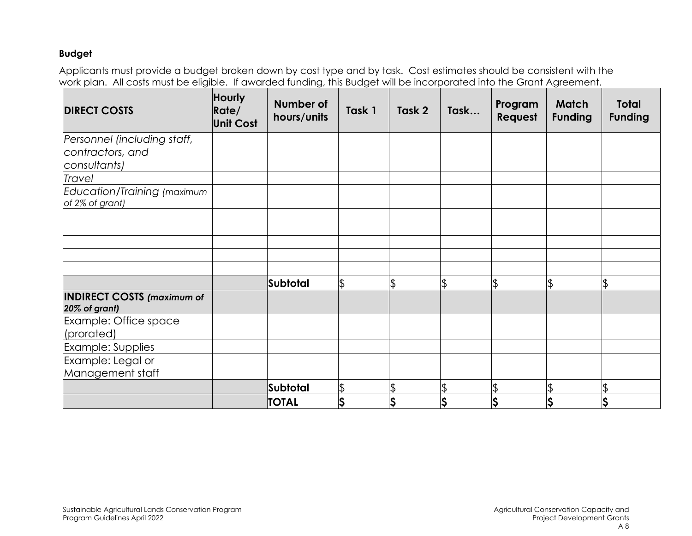### **Budget**

Applicants must provide a budget broken down by cost type and by task. Cost estimates should be consistent with the work plan. All costs must be eligible. If awarded funding, this Budget will be incorporated into the Grant Agreement.

| <b>DIRECT COSTS</b>                                             | Hourly<br>Rate/<br><b>Unit Cost</b> | Number of<br>hours/units | Task 1        | Task 2   | Task | Program<br>Request                  | <b>Match</b><br><b>Funding</b> | <b>Total</b><br><b>Funding</b> |
|-----------------------------------------------------------------|-------------------------------------|--------------------------|---------------|----------|------|-------------------------------------|--------------------------------|--------------------------------|
| Personnel (including staff,<br>contractors, and<br>consultants) |                                     |                          |               |          |      |                                     |                                |                                |
| Travel                                                          |                                     |                          |               |          |      |                                     |                                |                                |
| Education/Training (maximum<br>of 2% of grant)                  |                                     |                          |               |          |      |                                     |                                |                                |
|                                                                 |                                     |                          |               |          |      |                                     |                                |                                |
|                                                                 |                                     |                          |               |          |      |                                     |                                |                                |
|                                                                 |                                     |                          |               |          |      |                                     |                                |                                |
|                                                                 |                                     |                          |               |          |      |                                     |                                |                                |
|                                                                 |                                     | Subtotal                 | $\frac{1}{2}$ | <b>đ</b> | \$   | $\frac{1}{2}$                       | \$                             | \$                             |
| <b>INDIRECT COSTS (maximum of</b><br>20% of grant)              |                                     |                          |               |          |      |                                     |                                |                                |
| Example: Office space<br>(prorated)                             |                                     |                          |               |          |      |                                     |                                |                                |
| Example: Supplies                                               |                                     |                          |               |          |      |                                     |                                |                                |
| Example: Legal or                                               |                                     |                          |               |          |      |                                     |                                |                                |
| Management staff                                                |                                     |                          |               |          |      |                                     |                                |                                |
|                                                                 |                                     | Subtotal                 | $\frac{1}{2}$ |          | \$   | $\frac{1}{2}$                       |                                | \$                             |
|                                                                 |                                     | <b>TOTAL</b>             | <b>S</b>      | Ş        | \$   | $\overline{\boldsymbol{\varsigma}}$ | Ş                              | \$                             |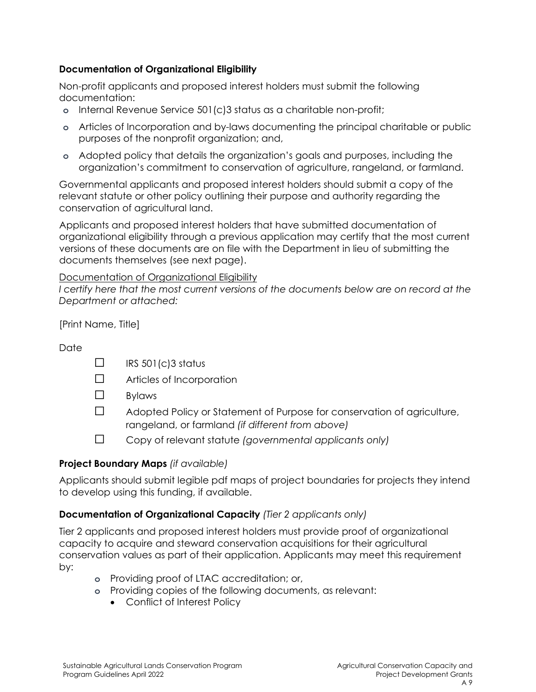## **Documentation of Organizational Eligibility**

Non-profit applicants and proposed interest holders must submit the following documentation:

- **o** Internal Revenue Service 501(c)3 status as a charitable non-profit;
- **o** Articles of Incorporation and by-laws documenting the principal charitable or public purposes of the nonprofit organization; and,
- **o** Adopted policy that details the organization's goals and purposes, including the organization's commitment to conservation of agriculture, rangeland, or farmland.

Governmental applicants and proposed interest holders should submit a copy of the relevant statute or other policy outlining their purpose and authority regarding the conservation of agricultural land.

Applicants and proposed interest holders that have submitted documentation of organizational eligibility through a previous application may certify that the most current versions of these documents are on file with the Department in lieu of submitting the documents themselves (see next page).

Documentation of Organizational Eligibility

*I certify here that the most current versions of the documents below are on record at the Department or attached:*

[Print Name, Title]

# **Date**

- $\Box$  IRS 501(c)3 status
- ☐ Articles of Incorporation
- ☐ Bylaws
- ☐ Adopted Policy or Statement of Purpose for conservation of agriculture, rangeland, or farmland *(if different from above)*
- ☐ Copy of relevant statute *(governmental applicants only)*

# **Project Boundary Maps** *(if available)*

Applicants should submit legible pdf maps of project boundaries for projects they intend to develop using this funding, if available.

# **Documentation of Organizational Capacity** *(Tier 2 applicants only)*

Tier 2 applicants and proposed interest holders must provide proof of organizational capacity to acquire and steward conservation acquisitions for their agricultural conservation values as part of their application. Applicants may meet this requirement by:

- **o** Providing proof of LTAC accreditation; or,
- **o** Providing copies of the following documents, as relevant:
	- Conflict of Interest Policy